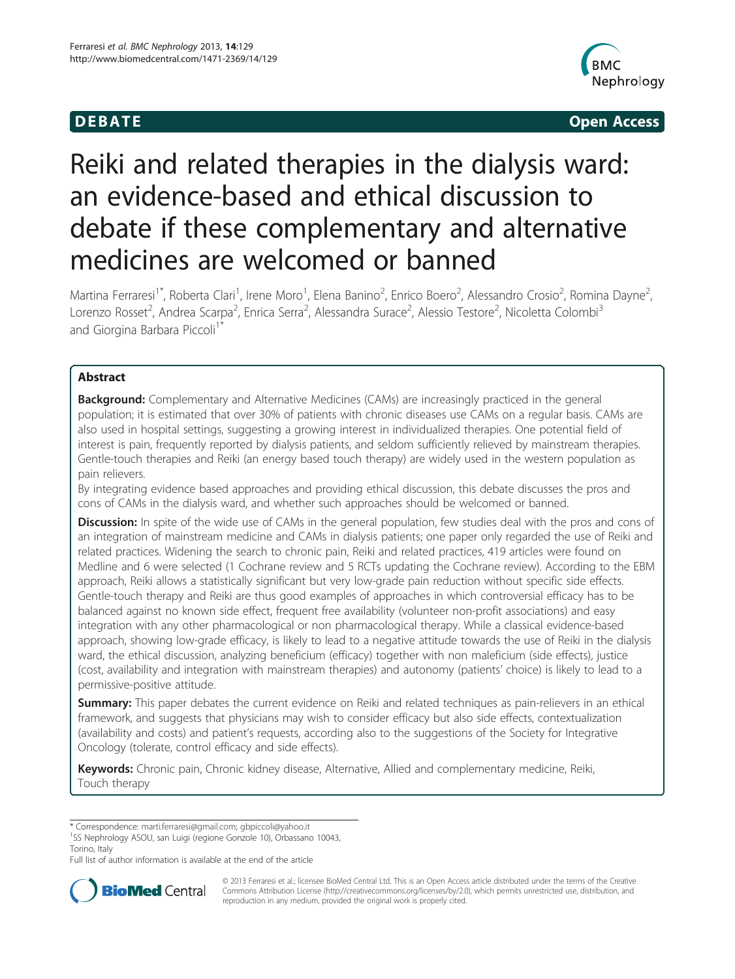

**DEBATE CONSIDERATE CONSIDERED ACCESS** 

# Reiki and related therapies in the dialysis ward: an evidence-based and ethical discussion to debate if these complementary and alternative medicines are welcomed or banned

Martina Ferraresi<sup>1\*</sup>, Roberta Clari<sup>1</sup>, Irene Moro<sup>1</sup>, Elena Banino<sup>2</sup>, Enrico Boero<sup>2</sup>, Alessandro Crosio<sup>2</sup>, Romina Dayne<sup>2</sup> , Lorenzo Rosset<sup>2</sup>, Andrea Scarpa<sup>2</sup>, Enrica Serra<sup>2</sup>, Alessandra Surace<sup>2</sup>, Alessio Testore<sup>2</sup>, Nicoletta Colombi<sup>3</sup> and Giorgina Barbara Piccoli<sup>1\*</sup>

# Abstract

**Background:** Complementary and Alternative Medicines (CAMs) are increasingly practiced in the general population; it is estimated that over 30% of patients with chronic diseases use CAMs on a regular basis. CAMs are also used in hospital settings, suggesting a growing interest in individualized therapies. One potential field of interest is pain, frequently reported by dialysis patients, and seldom sufficiently relieved by mainstream therapies. Gentle-touch therapies and Reiki (an energy based touch therapy) are widely used in the western population as pain relievers.

By integrating evidence based approaches and providing ethical discussion, this debate discusses the pros and cons of CAMs in the dialysis ward, and whether such approaches should be welcomed or banned.

Discussion: In spite of the wide use of CAMs in the general population, few studies deal with the pros and cons of an integration of mainstream medicine and CAMs in dialysis patients; one paper only regarded the use of Reiki and related practices. Widening the search to chronic pain, Reiki and related practices, 419 articles were found on Medline and 6 were selected (1 Cochrane review and 5 RCTs updating the Cochrane review). According to the EBM approach, Reiki allows a statistically significant but very low-grade pain reduction without specific side effects. Gentle-touch therapy and Reiki are thus good examples of approaches in which controversial efficacy has to be balanced against no known side effect, frequent free availability (volunteer non-profit associations) and easy integration with any other pharmacological or non pharmacological therapy. While a classical evidence-based approach, showing low-grade efficacy, is likely to lead to a negative attitude towards the use of Reiki in the dialysis ward, the ethical discussion, analyzing beneficium (efficacy) together with non maleficium (side effects), justice (cost, availability and integration with mainstream therapies) and autonomy (patients' choice) is likely to lead to a permissive-positive attitude.

**Summary:** This paper debates the current evidence on Reiki and related techniques as pain-relievers in an ethical framework, and suggests that physicians may wish to consider efficacy but also side effects, contextualization (availability and costs) and patient's requests, according also to the suggestions of the Society for Integrative Oncology (tolerate, control efficacy and side effects).

Keywords: Chronic pain, Chronic kidney disease, Alternative, Allied and complementary medicine, Reiki, Touch therapy

\* Correspondence: [marti.ferraresi@gmail.com](mailto:marti.ferraresi@gmail.com); [gbpiccoli@yahoo.it](mailto:gbpiccoli@yahoo.it) <sup>1</sup>

<sup>1</sup>SS Nephrology ASOU, san Luigi (regione Gonzole 10), Orbassano 10043, Torino, Italy

Full list of author information is available at the end of the article



© 2013 Ferraresi et al.; licensee BioMed Central Ltd. This is an Open Access article distributed under the terms of the Creative Commons Attribution License [\(http://creativecommons.org/licenses/by/2.0\)](http://creativecommons.org/licenses/by/2.0), which permits unrestricted use, distribution, and reproduction in any medium, provided the original work is properly cited.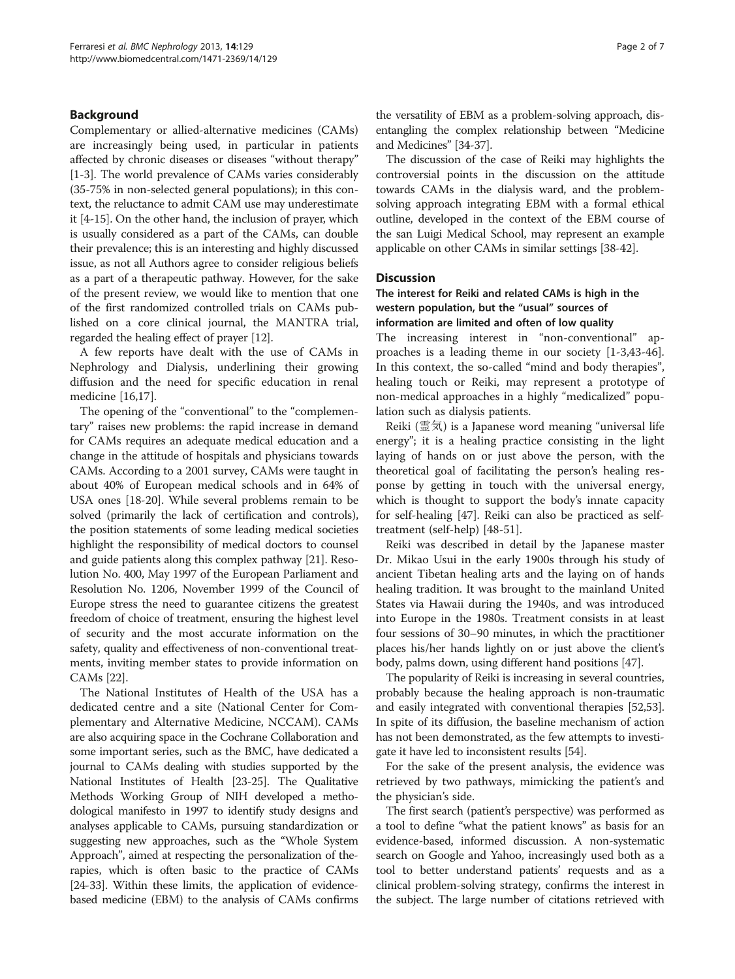# Background

Complementary or allied-alternative medicines (CAMs) are increasingly being used, in particular in patients affected by chronic diseases or diseases "without therapy" [[1-3\]](#page-5-0). The world prevalence of CAMs varies considerably (35-75% in non-selected general populations); in this context, the reluctance to admit CAM use may underestimate it [\[4-15\]](#page-5-0). On the other hand, the inclusion of prayer, which is usually considered as a part of the CAMs, can double their prevalence; this is an interesting and highly discussed issue, as not all Authors agree to consider religious beliefs as a part of a therapeutic pathway. However, for the sake of the present review, we would like to mention that one of the first randomized controlled trials on CAMs published on a core clinical journal, the MANTRA trial, regarded the healing effect of prayer [[12](#page-5-0)].

A few reports have dealt with the use of CAMs in Nephrology and Dialysis, underlining their growing diffusion and the need for specific education in renal medicine [[16,17\]](#page-5-0).

The opening of the "conventional" to the "complementary" raises new problems: the rapid increase in demand for CAMs requires an adequate medical education and a change in the attitude of hospitals and physicians towards CAMs. According to a 2001 survey, CAMs were taught in about 40% of European medical schools and in 64% of USA ones [[18](#page-5-0)-[20\]](#page-6-0). While several problems remain to be solved (primarily the lack of certification and controls), the position statements of some leading medical societies highlight the responsibility of medical doctors to counsel and guide patients along this complex pathway [\[21](#page-6-0)]. Resolution No. 400, May 1997 of the European Parliament and Resolution No. 1206, November 1999 of the Council of Europe stress the need to guarantee citizens the greatest freedom of choice of treatment, ensuring the highest level of security and the most accurate information on the safety, quality and effectiveness of non-conventional treatments, inviting member states to provide information on CAMs [\[22\]](#page-6-0).

The National Institutes of Health of the USA has a dedicated centre and a site (National Center for Complementary and Alternative Medicine, NCCAM). CAMs are also acquiring space in the Cochrane Collaboration and some important series, such as the BMC, have dedicated a journal to CAMs dealing with studies supported by the National Institutes of Health [\[23](#page-6-0)-[25](#page-6-0)]. The Qualitative Methods Working Group of NIH developed a methodological manifesto in 1997 to identify study designs and analyses applicable to CAMs, pursuing standardization or suggesting new approaches, such as the "Whole System Approach", aimed at respecting the personalization of therapies, which is often basic to the practice of CAMs [[24](#page-6-0)-[33](#page-6-0)]. Within these limits, the application of evidencebased medicine (EBM) to the analysis of CAMs confirms

the versatility of EBM as a problem-solving approach, disentangling the complex relationship between "Medicine and Medicines" [[34-37\]](#page-6-0).

The discussion of the case of Reiki may highlights the controversial points in the discussion on the attitude towards CAMs in the dialysis ward, and the problemsolving approach integrating EBM with a formal ethical outline, developed in the context of the EBM course of the san Luigi Medical School, may represent an example applicable on other CAMs in similar settings [\[38](#page-6-0)-[42](#page-6-0)].

#### **Discussion**

### The interest for Reiki and related CAMs is high in the western population, but the "usual" sources of information are limited and often of low quality

The increasing interest in "non-conventional" approaches is a leading theme in our society [\[1](#page-5-0)-[3,](#page-5-0)[43-46](#page-6-0)]. In this context, the so-called "mind and body therapies", healing touch or Reiki, may represent a prototype of non-medical approaches in a highly "medicalized" population such as dialysis patients.

Reiki (霊気) is a Japanese word meaning "universal life energy"; it is a healing practice consisting in the light laying of hands on or just above the person, with the theoretical goal of facilitating the person's healing response by getting in touch with the universal energy, which is thought to support the body's innate capacity for self-healing [[47\]](#page-6-0). Reiki can also be practiced as selftreatment (self-help) [[48-51\]](#page-6-0).

Reiki was described in detail by the Japanese master Dr. Mikao Usui in the early 1900s through his study of ancient Tibetan healing arts and the laying on of hands healing tradition. It was brought to the mainland United States via Hawaii during the 1940s, and was introduced into Europe in the 1980s. Treatment consists in at least four sessions of 30–90 minutes, in which the practitioner places his/her hands lightly on or just above the client's body, palms down, using different hand positions [[47](#page-6-0)].

The popularity of Reiki is increasing in several countries, probably because the healing approach is non-traumatic and easily integrated with conventional therapies [\[52,53](#page-6-0)]. In spite of its diffusion, the baseline mechanism of action has not been demonstrated, as the few attempts to investigate it have led to inconsistent results [[54](#page-6-0)].

For the sake of the present analysis, the evidence was retrieved by two pathways, mimicking the patient's and the physician's side.

The first search (patient's perspective) was performed as a tool to define "what the patient knows" as basis for an evidence-based, informed discussion. A non-systematic search on Google and Yahoo, increasingly used both as a tool to better understand patients' requests and as a clinical problem-solving strategy, confirms the interest in the subject. The large number of citations retrieved with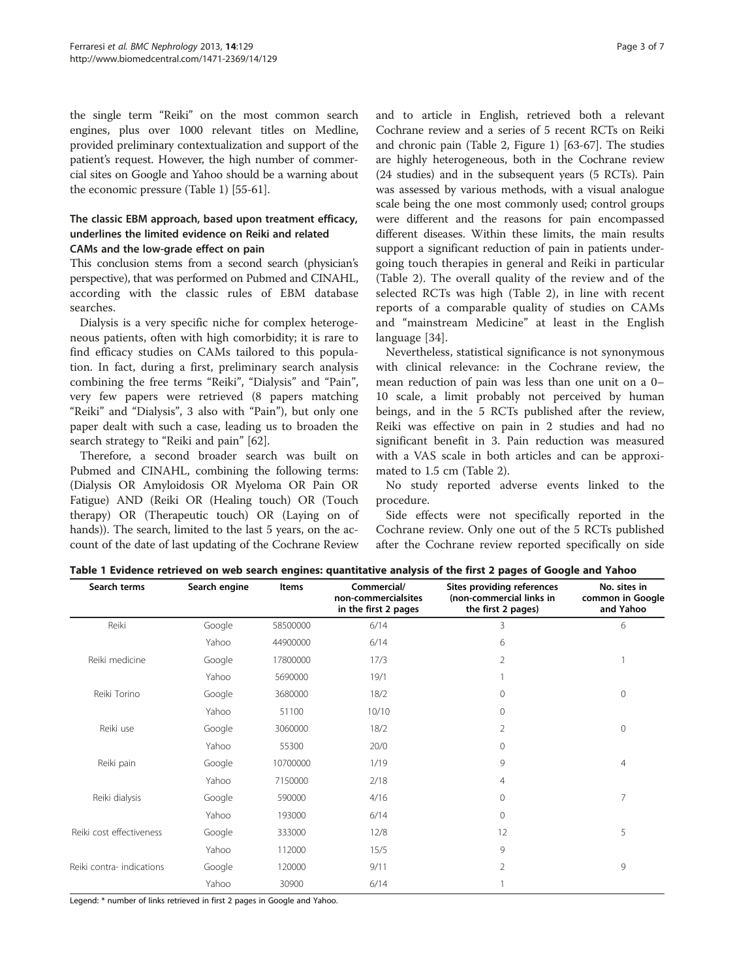the single term "Reiki" on the most common search engines, plus over 1000 relevant titles on Medline, provided preliminary contextualization and support of the patient's request. However, the high number of commercial sites on Google and Yahoo should be a warning about the economic pressure (Table 1) [[55-61\]](#page-6-0).

# The classic EBM approach, based upon treatment efficacy, underlines the limited evidence on Reiki and related CAMs and the low-grade effect on pain

This conclusion stems from a second search (physician's perspective), that was performed on Pubmed and CINAHL, according with the classic rules of EBM database searches.

Dialysis is a very specific niche for complex heterogeneous patients, often with high comorbidity; it is rare to find efficacy studies on CAMs tailored to this population. In fact, during a first, preliminary search analysis combining the free terms "Reiki", "Dialysis" and "Pain", very few papers were retrieved (8 papers matching "Reiki" and "Dialysis", 3 also with "Pain"), but only one paper dealt with such a case, leading us to broaden the search strategy to "Reiki and pain" [[62\]](#page-6-0).

Therefore, a second broader search was built on Pubmed and CINAHL, combining the following terms: (Dialysis OR Amyloidosis OR Myeloma OR Pain OR Fatigue) AND (Reiki OR (Healing touch) OR (Touch therapy) OR (Therapeutic touch) OR (Laying on of hands)). The search, limited to the last 5 years, on the account of the date of last updating of the Cochrane Review

and to article in English, retrieved both a relevant Cochrane review and a series of 5 recent RCTs on Reiki and chronic pain (Table [2,](#page-3-0) Figure [1](#page-4-0)) [\[63-67\]](#page-6-0). The studies are highly heterogeneous, both in the Cochrane review (24 studies) and in the subsequent years (5 RCTs). Pain was assessed by various methods, with a visual analogue scale being the one most commonly used; control groups were different and the reasons for pain encompassed different diseases. Within these limits, the main results support a significant reduction of pain in patients undergoing touch therapies in general and Reiki in particular (Table [2\)](#page-3-0). The overall quality of the review and of the selected RCTs was high (Table [2](#page-3-0)), in line with recent reports of a comparable quality of studies on CAMs and "mainstream Medicine" at least in the English language [[34\]](#page-6-0).

Nevertheless, statistical significance is not synonymous with clinical relevance: in the Cochrane review, the mean reduction of pain was less than one unit on a 0– 10 scale, a limit probably not perceived by human beings, and in the 5 RCTs published after the review, Reiki was effective on pain in 2 studies and had no significant benefit in 3. Pain reduction was measured with a VAS scale in both articles and can be approximated to 1.5 cm (Table [2\)](#page-3-0).

No study reported adverse events linked to the procedure.

Side effects were not specifically reported in the Cochrane review. Only one out of the 5 RCTs published after the Cochrane review reported specifically on side

Table 1 Evidence retrieved on web search engines: quantitative analysis of the first 2 pages of Google and Yahoo

| Search terms              | Search engine<br>Items |          | Commercial/<br>non-commercialsites<br>in the first 2 pages | <b>Sites providing references</b><br>(non-commercial links in<br>the first 2 pages) | No. sites in<br>common in Google<br>and Yahoo |  |
|---------------------------|------------------------|----------|------------------------------------------------------------|-------------------------------------------------------------------------------------|-----------------------------------------------|--|
| Reiki                     | Google                 | 58500000 | 6/14                                                       | 3                                                                                   | 6                                             |  |
|                           | Yahoo                  | 44900000 | 6/14                                                       | 6                                                                                   |                                               |  |
| Reiki medicine            | Google                 | 17800000 | 17/3                                                       | $\overline{2}$                                                                      |                                               |  |
|                           | Yahoo                  | 5690000  | 19/1                                                       |                                                                                     |                                               |  |
| Reiki Torino              | Google                 | 3680000  | 18/2                                                       | $\mathbf{0}$                                                                        | $\mathbf{0}$                                  |  |
|                           | Yahoo                  | 51100    | 10/10                                                      | $\circ$                                                                             |                                               |  |
| Reiki use                 | Google                 | 3060000  | 18/2                                                       | $\overline{2}$                                                                      | $\mathbf{0}$                                  |  |
|                           | Yahoo                  | 55300    | 20/0                                                       | $\circ$                                                                             |                                               |  |
| Reiki pain                | Google                 | 10700000 | 1/19                                                       | 9                                                                                   | $\overline{4}$                                |  |
|                           | Yahoo                  | 7150000  | 2/18                                                       | $\overline{4}$                                                                      |                                               |  |
| Reiki dialysis            | Google                 | 590000   | 4/16                                                       | $\mathbf 0$                                                                         | 7                                             |  |
|                           | Yahoo                  | 193000   | 6/14                                                       | $\mathbf 0$                                                                         |                                               |  |
| Reiki cost effectiveness  | Google                 | 333000   | 12/8                                                       | 12                                                                                  | 5                                             |  |
|                           | Yahoo                  | 112000   | 15/5                                                       | 9                                                                                   |                                               |  |
| Reiki contra- indications | Google                 | 120000   | 9/11                                                       | $\overline{2}$                                                                      | 9                                             |  |
|                           | Yahoo                  | 30900    | 6/14                                                       |                                                                                     |                                               |  |

Legend: \* number of links retrieved in first 2 pages in Google and Yahoo.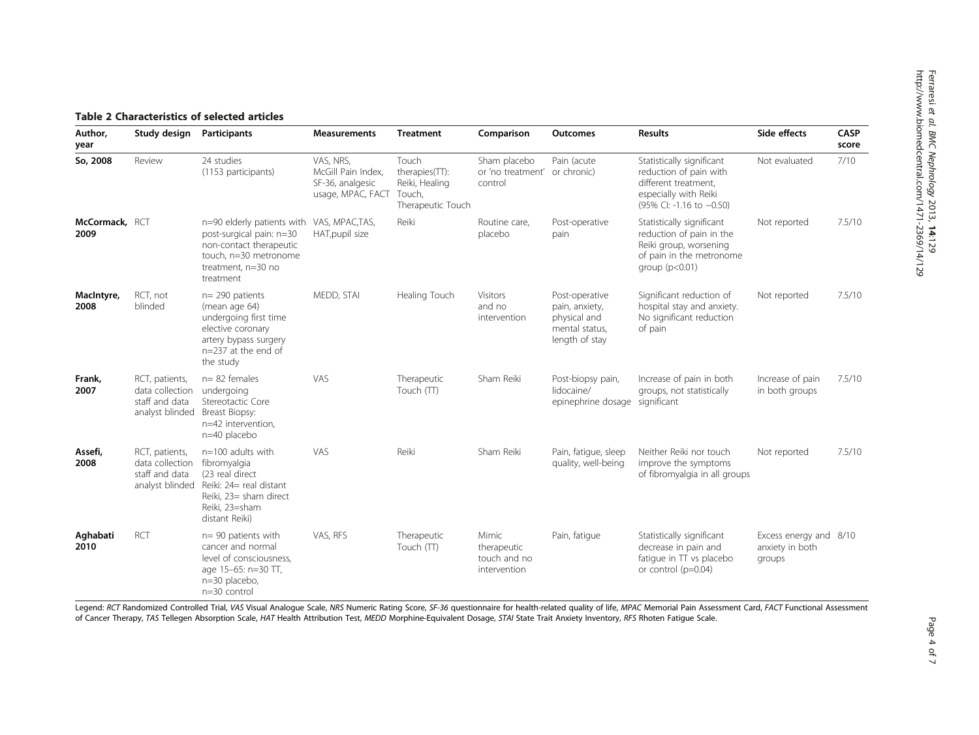<span id="page-3-0"></span>

| Table 2 Characteristics of selected articles |  |
|----------------------------------------------|--|
|----------------------------------------------|--|

| Author,<br>year        | Study design                                                           | Participants                                                                                                                                                    | <b>Measurements</b>                                                      | <b>Treatment</b>                                                         | Comparison                                               | <b>Outcomes</b>                                                                      | <b>Results</b>                                                                                                                   | Side effects                                        | <b>CASP</b><br>score |
|------------------------|------------------------------------------------------------------------|-----------------------------------------------------------------------------------------------------------------------------------------------------------------|--------------------------------------------------------------------------|--------------------------------------------------------------------------|----------------------------------------------------------|--------------------------------------------------------------------------------------|----------------------------------------------------------------------------------------------------------------------------------|-----------------------------------------------------|----------------------|
| So, 2008               | Review                                                                 | 24 studies<br>(1153 participants)                                                                                                                               | VAS, NRS.<br>McGill Pain Index,<br>SF-36, analgesic<br>usage, MPAC, FACT | Touch<br>therapies(TT):<br>Reiki, Healing<br>Touch,<br>Therapeutic Touch | Sham placebo<br>or 'no treatment' or chronic)<br>control | Pain (acute                                                                          | Statistically significant<br>reduction of pain with<br>different treatment.<br>especially with Reiki<br>(95% CI: -1.16 to -0.50) | Not evaluated                                       | 7/10                 |
| McCormack, RCT<br>2009 |                                                                        | n=90 elderly patients with VAS, MPAC,TAS,<br>post-surgical pain: n=30<br>non-contact therapeutic<br>touch, n=30 metronome<br>treatment, n=30 no<br>treatment    | HAT, pupil size                                                          | Reiki                                                                    | Routine care,<br>placebo                                 | Post-operative<br>pain                                                               | Statistically significant<br>reduction of pain in the<br>Reiki group, worsening<br>of pain in the metronome<br>group $(p<0.01)$  | Not reported                                        | 7.5/10               |
| MacIntyre,<br>2008     | RCT, not<br>blinded                                                    | $n=290$ patients<br>(mean age 64)<br>undergoing first time<br>elective coronary<br>artery bypass surgery<br>$n=237$ at the end of<br>the study                  | MEDD, STAI                                                               | Healing Touch                                                            | Visitors<br>and no<br>intervention                       | Post-operative<br>pain, anxiety,<br>physical and<br>mental status,<br>length of stay | Significant reduction of<br>hospital stay and anxiety.<br>No significant reduction<br>of pain                                    | Not reported                                        | 7.5/10               |
| Frank,<br>2007         | RCT, patients,<br>data collection<br>staff and data<br>analyst blinded | $n=82$ females<br>undergoing<br>Stereotactic Core<br>Breast Biopsy:<br>n=42 intervention,<br>n=40 placebo                                                       | VAS                                                                      | Therapeutic<br>Touch (TT)                                                | Sham Reiki                                               | Post-biopsy pain,<br>lidocaine/<br>epinephrine dosage significant                    | Increase of pain in both<br>groups, not statistically                                                                            | Increase of pain<br>in both groups                  | 7.5/10               |
| Assefi,<br>2008        | RCT, patients,<br>data collection<br>staff and data                    | $n=100$ adults with<br>fibromyalgia<br>(23 real direct<br>analyst blinded Reiki: 24= real distant<br>Reiki, 23= sham direct<br>Reiki, 23=sham<br>distant Reiki) | VAS                                                                      | Reiki                                                                    | Sham Reiki                                               | Pain, fatique, sleep<br>quality, well-being                                          | Neither Reiki nor touch<br>improve the symptoms<br>of fibromyalgia in all groups                                                 | Not reported                                        | 7.5/10               |
| Aghabati<br>2010       | <b>RCT</b>                                                             | $n=90$ patients with<br>cancer and normal<br>level of consciousness,<br>age 15-65: n=30 TT,<br>n=30 placebo,<br>n=30 control                                    | VAS, RFS                                                                 | Therapeutic<br>Touch (TT)                                                | Mimic<br>therapeutic<br>touch and no<br>intervention     | Pain, fatique                                                                        | Statistically significant<br>decrease in pain and<br>fatique in TT vs placebo<br>or control ( $p=0.04$ )                         | Excess energy and 8/10<br>anxiety in both<br>groups |                      |

Legend: RCT Randomized Controlled Trial, VAS Visual Analogue Scale, NRS Numeric Rating Score, SF-36 questionnaire for health-related quality of life, MPAC Memorial Pain Assessment Card, FACT Functional Assessment of Cancer Therapy, TAS Tellegen Absorption Scale, HAT Health Attribution Test, MEDD Morphine-Equivalent Dosage, STAI State Trait Anxiety Inventory, RFS Rhoten Fatigue Scale.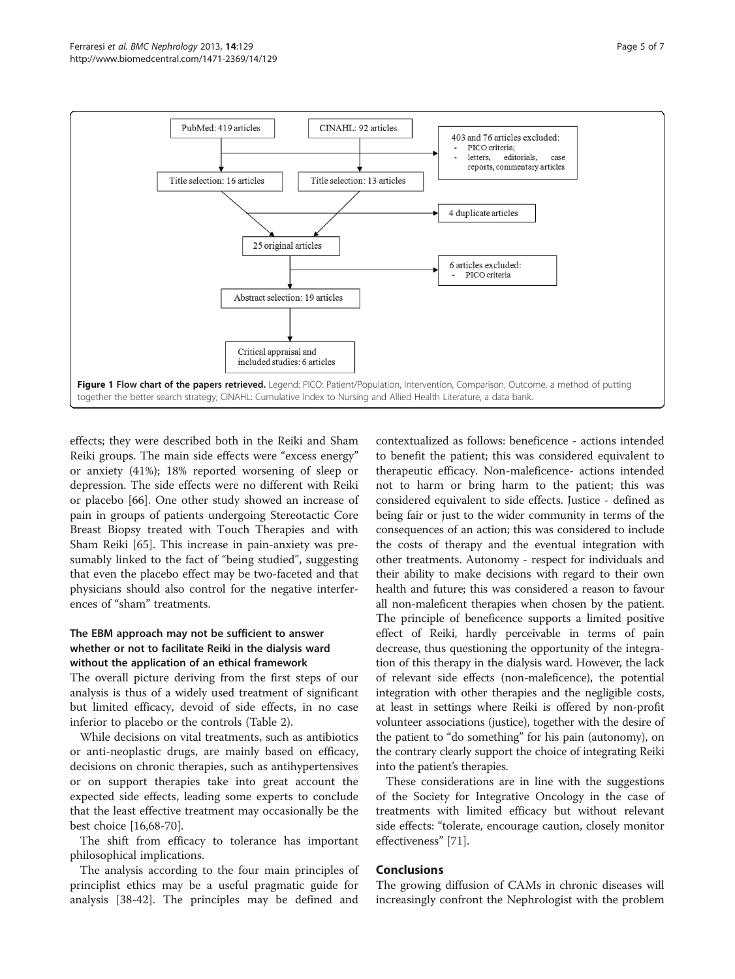<span id="page-4-0"></span>

effects; they were described both in the Reiki and Sham Reiki groups. The main side effects were "excess energy" or anxiety (41%); 18% reported worsening of sleep or depression. The side effects were no different with Reiki or placebo [\[66\]](#page-6-0). One other study showed an increase of pain in groups of patients undergoing Stereotactic Core Breast Biopsy treated with Touch Therapies and with Sham Reiki [[65\]](#page-6-0). This increase in pain-anxiety was presumably linked to the fact of "being studied", suggesting that even the placebo effect may be two-faceted and that physicians should also control for the negative interferences of "sham" treatments.

# The EBM approach may not be sufficient to answer whether or not to facilitate Reiki in the dialysis ward without the application of an ethical framework

The overall picture deriving from the first steps of our analysis is thus of a widely used treatment of significant but limited efficacy, devoid of side effects, in no case inferior to placebo or the controls (Table [2](#page-3-0)).

While decisions on vital treatments, such as antibiotics or anti-neoplastic drugs, are mainly based on efficacy, decisions on chronic therapies, such as antihypertensives or on support therapies take into great account the expected side effects, leading some experts to conclude that the least effective treatment may occasionally be the best choice [\[16](#page-5-0)[,68](#page-6-0)-[70\]](#page-6-0).

The shift from efficacy to tolerance has important philosophical implications.

The analysis according to the four main principles of principlist ethics may be a useful pragmatic guide for analysis [\[38](#page-6-0)-[42\]](#page-6-0). The principles may be defined and

contextualized as follows: beneficence - actions intended to benefit the patient; this was considered equivalent to therapeutic efficacy. Non-maleficence- actions intended not to harm or bring harm to the patient; this was considered equivalent to side effects. Justice - defined as being fair or just to the wider community in terms of the consequences of an action; this was considered to include the costs of therapy and the eventual integration with other treatments. Autonomy - respect for individuals and their ability to make decisions with regard to their own health and future; this was considered a reason to favour all non-maleficent therapies when chosen by the patient. The principle of beneficence supports a limited positive effect of Reiki, hardly perceivable in terms of pain decrease, thus questioning the opportunity of the integration of this therapy in the dialysis ward. However, the lack of relevant side effects (non-maleficence), the potential integration with other therapies and the negligible costs, at least in settings where Reiki is offered by non-profit volunteer associations (justice), together with the desire of the patient to "do something" for his pain (autonomy), on the contrary clearly support the choice of integrating Reiki into the patient's therapies.

These considerations are in line with the suggestions of the Society for Integrative Oncology in the case of treatments with limited efficacy but without relevant side effects: "tolerate, encourage caution, closely monitor effectiveness" [\[71](#page-6-0)].

# Conclusions

The growing diffusion of CAMs in chronic diseases will increasingly confront the Nephrologist with the problem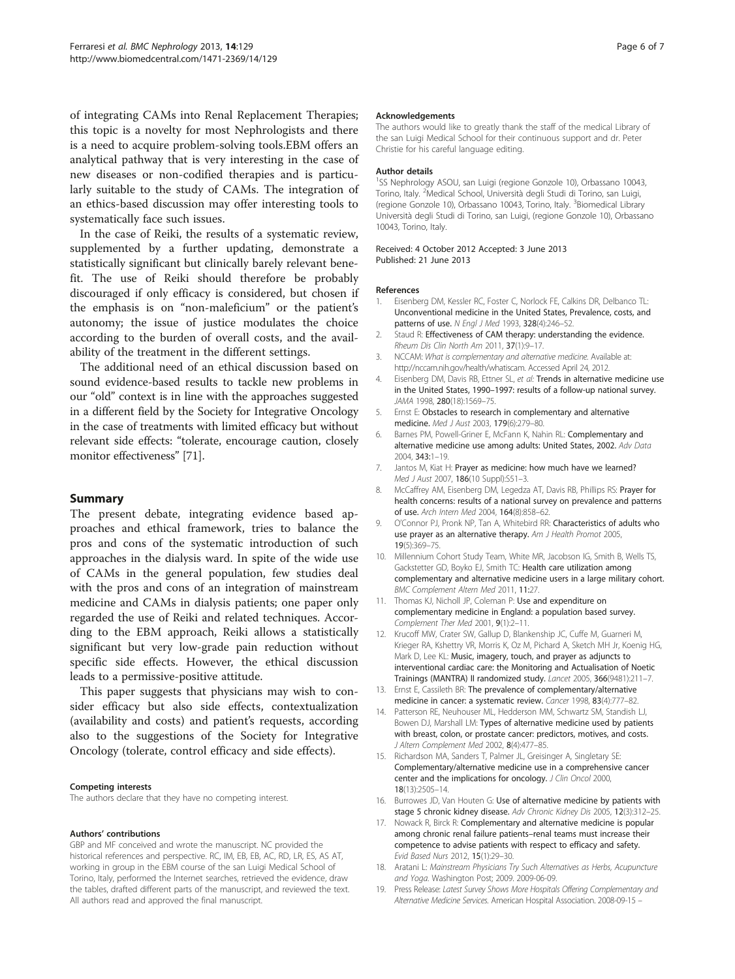<span id="page-5-0"></span>of integrating CAMs into Renal Replacement Therapies; this topic is a novelty for most Nephrologists and there is a need to acquire problem-solving tools.EBM offers an analytical pathway that is very interesting in the case of new diseases or non-codified therapies and is particularly suitable to the study of CAMs. The integration of an ethics-based discussion may offer interesting tools to systematically face such issues.

In the case of Reiki, the results of a systematic review, supplemented by a further updating, demonstrate a statistically significant but clinically barely relevant benefit. The use of Reiki should therefore be probably discouraged if only efficacy is considered, but chosen if the emphasis is on "non-maleficium" or the patient's autonomy; the issue of justice modulates the choice according to the burden of overall costs, and the availability of the treatment in the different settings.

The additional need of an ethical discussion based on sound evidence-based results to tackle new problems in our "old" context is in line with the approaches suggested in a different field by the Society for Integrative Oncology in the case of treatments with limited efficacy but without relevant side effects: "tolerate, encourage caution, closely monitor effectiveness" [\[71\]](#page-6-0).

# Summary

The present debate, integrating evidence based approaches and ethical framework, tries to balance the pros and cons of the systematic introduction of such approaches in the dialysis ward. In spite of the wide use of CAMs in the general population, few studies deal with the pros and cons of an integration of mainstream medicine and CAMs in dialysis patients; one paper only regarded the use of Reiki and related techniques. According to the EBM approach, Reiki allows a statistically significant but very low-grade pain reduction without specific side effects. However, the ethical discussion leads to a permissive-positive attitude.

This paper suggests that physicians may wish to consider efficacy but also side effects, contextualization (availability and costs) and patient's requests, according also to the suggestions of the Society for Integrative Oncology (tolerate, control efficacy and side effects).

#### Competing interests

The authors declare that they have no competing interest.

#### Authors' contributions

GBP and MF conceived and wrote the manuscript. NC provided the historical references and perspective. RC, IM, EB, EB, AC, RD, LR, ES, AS AT, working in group in the EBM course of the san Luigi Medical School of Torino, Italy, performed the Internet searches, retrieved the evidence, draw the tables, drafted different parts of the manuscript, and reviewed the text. All authors read and approved the final manuscript.

#### Acknowledgements

The authors would like to greatly thank the staff of the medical Library of the san Luigi Medical School for their continuous support and dr. Peter Christie for his careful language editing.

#### Author details

<sup>1</sup>SS Nephrology ASOU, san Luigi (regione Gonzole 10), Orbassano 10043, Torino, Italy. <sup>2</sup>Medical School, Università degli Studi di Torino, san Luigi, (regione Gonzole 10), Orbassano 10043, Torino, Italy. <sup>3</sup>Biomedical Library Università degli Studi di Torino, san Luigi, (regione Gonzole 10), Orbassano 10043, Torino, Italy.

Received: 4 October 2012 Accepted: 3 June 2013 Published: 21 June 2013

#### References

- 1. Eisenberg DM, Kessler RC, Foster C, Norlock FE, Calkins DR, Delbanco TL: Unconventional medicine in the United States, Prevalence, costs, and patterns of use. N Engl J Med 1993, 328(4):246–52.
- 2. Staud R: Effectiveness of CAM therapy: understanding the evidence. Rheum Dis Clin North Am 2011, 37(1):9–17.
- 3. NCCAM: What is complementary and alternative medicine. Available at: <http://nccam.nih.gov/health/whatiscam>. Accessed April 24, 2012.
- 4. Eisenberg DM, Davis RB, Ettner SL, et al: Trends in alternative medicine use in the United States, 1990–1997: results of a follow-up national survey. JAMA 1998, 280(18):1569–75.
- 5. Ernst E: Obstacles to research in complementary and alternative medicine. Med J Aust 2003, 179(6):279–80.
- 6. Barnes PM, Powell-Griner E, McFann K, Nahin RL: Complementary and alternative medicine use among adults: United States, 2002. Adv Data 2004, 343:1–19.
- 7. Jantos M, Kiat H: Prayer as medicine: how much have we learned? Med J Aust 2007, 186(10 Suppl):S51–3.
- 8. McCaffrey AM, Eisenberg DM, Legedza AT, Davis RB, Phillips RS: Prayer for health concerns: results of a national survey on prevalence and patterns of use. Arch Intern Med 2004, 164(8):858–62.
- 9. O'Connor PJ, Pronk NP, Tan A, Whitebird RR: Characteristics of adults who use prayer as an alternative therapy. Am J Health Promot 2005, 19(5):369–75.
- 10. Millennium Cohort Study Team, White MR, Jacobson IG, Smith B, Wells TS, Gackstetter GD, Boyko EJ, Smith TC: Health care utilization among complementary and alternative medicine users in a large military cohort. BMC Complement Altern Med 2011, 11:27.
- 11. Thomas KJ, Nicholl JP, Coleman P: Use and expenditure on complementary medicine in England: a population based survey. Complement Ther Med 2001, 9(1):2–11.
- 12. Krucoff MW, Crater SW, Gallup D, Blankenship JC, Cuffe M, Guarneri M, Krieger RA, Kshettry VR, Morris K, Oz M, Pichard A, Sketch MH Jr, Koenig HG, Mark D, Lee KL: Music, imagery, touch, and prayer as adjuncts to interventional cardiac care: the Monitoring and Actualisation of Noetic Trainings (MANTRA) II randomized study. Lancet 2005, 366(9481):211–7.
- 13. Ernst E, Cassileth BR: The prevalence of complementary/alternative medicine in cancer: a systematic review. Cancer 1998, 83(4):777–82.
- 14. Patterson RE, Neuhouser ML, Hedderson MM, Schwartz SM, Standish LJ, Bowen DJ, Marshall LM: Types of alternative medicine used by patients with breast, colon, or prostate cancer: predictors, motives, and costs. J Altern Complement Med 2002, 8(4):477–85.
- 15. Richardson MA, Sanders T, Palmer JL, Greisinger A, Singletary SE: Complementary/alternative medicine use in a comprehensive cancer center and the implications for oncology. J Clin Oncol 2000, 18(13):2505–14.
- 16. Burrowes JD, Van Houten G: Use of alternative medicine by patients with stage 5 chronic kidney disease. Adv Chronic Kidney Dis 2005, 12(3):312–25.
- 17. Nowack R, Birck R: Complementary and alternative medicine is popular among chronic renal failure patients–renal teams must increase their competence to advise patients with respect to efficacy and safety. Evid Based Nurs 2012, 15(1):29–30.
- 18. Aratani L: Mainstream Physicians Try Such Alternatives as Herbs, Acupuncture and Yoga. Washington Post; 2009. 2009-06-09.
- 19. Press Release: Latest Survey Shows More Hospitals Offering Complementary and Alternative Medicine Services. American Hospital Association. 2008-09-15 –